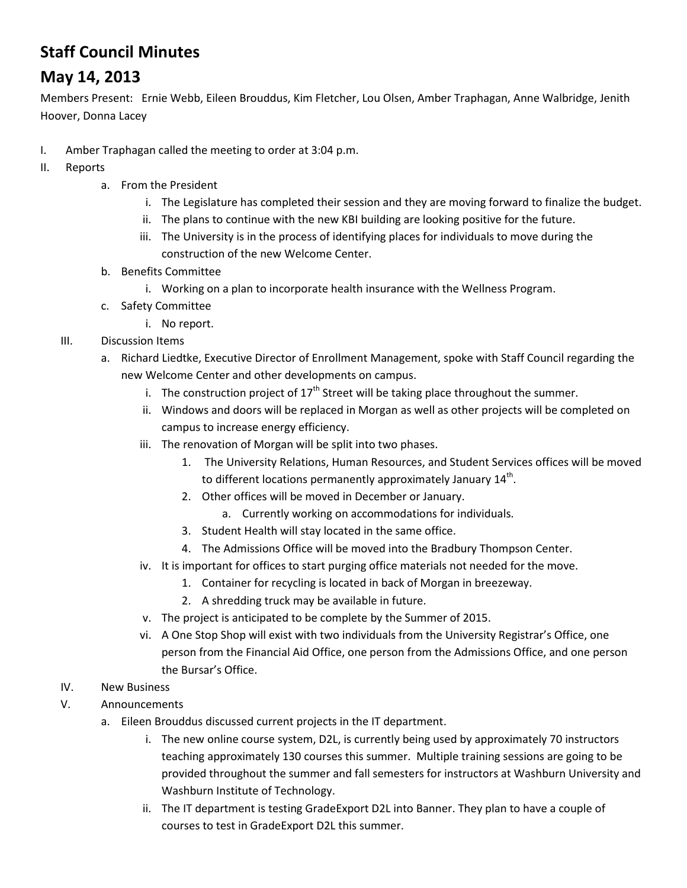## **Staff Council Minutes**

## **May 14, 2013**

Members Present: Ernie Webb, Eileen Brouddus, Kim Fletcher, Lou Olsen, Amber Traphagan, Anne Walbridge, Jenith Hoover, Donna Lacey

- I. Amber Traphagan called the meeting to order at 3:04 p.m.
- II. Reports
	- a. From the President
		- i. The Legislature has completed their session and they are moving forward to finalize the budget.
		- ii. The plans to continue with the new KBI building are looking positive for the future.
		- iii. The University is in the process of identifying places for individuals to move during the construction of the new Welcome Center.
	- b. Benefits Committee
		- i. Working on a plan to incorporate health insurance with the Wellness Program.
	- c. Safety Committee
		- i. No report.
	- III. Discussion Items
		- a. Richard Liedtke, Executive Director of Enrollment Management, spoke with Staff Council regarding the new Welcome Center and other developments on campus.
			- i. The construction project of  $17<sup>th</sup>$  Street will be taking place throughout the summer.
			- ii. Windows and doors will be replaced in Morgan as well as other projects will be completed on campus to increase energy efficiency.
			- iii. The renovation of Morgan will be split into two phases.
				- 1. The University Relations, Human Resources, and Student Services offices will be moved to different locations permanently approximately January 14<sup>th</sup>.
				- 2. Other offices will be moved in December or January.
					- a. Currently working on accommodations for individuals.
				- 3. Student Health will stay located in the same office.
				- 4. The Admissions Office will be moved into the Bradbury Thompson Center.
			- iv. It is important for offices to start purging office materials not needed for the move.
				- 1. Container for recycling is located in back of Morgan in breezeway.
				- 2. A shredding truck may be available in future.
			- v. The project is anticipated to be complete by the Summer of 2015.
			- vi. A One Stop Shop will exist with two individuals from the University Registrar's Office, one person from the Financial Aid Office, one person from the Admissions Office, and one person the Bursar's Office.

## IV. New Business

- V. Announcements
	- a. Eileen Brouddus discussed current projects in the IT department.
		- i. The new online course system, D2L, is currently being used by approximately 70 instructors teaching approximately 130 courses this summer. Multiple training sessions are going to be provided throughout the summer and fall semesters for instructors at Washburn University and Washburn Institute of Technology.
		- ii. The IT department is testing GradeExport D2L into Banner. They plan to have a couple of courses to test in GradeExport D2L this summer.